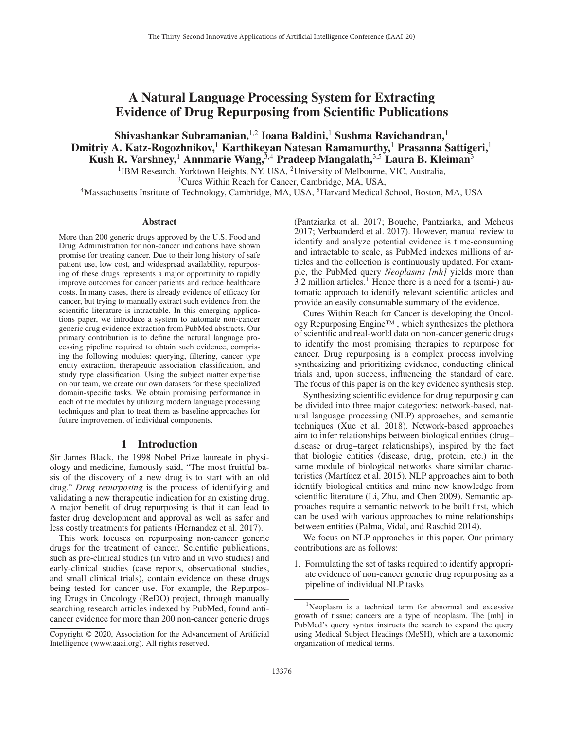# A Natural Language Processing System for Extracting Evidence of Drug Repurposing from Scientific Publications

## Shivashankar Subramanian,<sup>1,2</sup> Ioana Baldini,<sup>1</sup> Sushma Ravichandran,<sup>1</sup> Dmitriy A. Katz-Rogozhnikov,<sup>1</sup> Karthikeyan Natesan Ramamurthy,<sup>1</sup> Prasanna Sattigeri,<sup>1</sup> Kush R. Varshney,<sup>1</sup> Annmarie Wang, 3,4 Pradeep Mangalath, <sup>3,5</sup> Laura B. Kleiman<sup>3</sup>

<sup>1</sup>IBM Research, Yorktown Heights, NY, USA, <sup>2</sup>University of Melbourne, VIC, Australia,

<sup>3</sup>Cures Within Reach for Cancer, Cambridge, MA, USA,

<sup>4</sup>Massachusetts Institute of Technology, Cambridge, MA, USA, <sup>5</sup>Harvard Medical School, Boston, MA, USA

#### Abstract

More than 200 generic drugs approved by the U.S. Food and Drug Administration for non-cancer indications have shown promise for treating cancer. Due to their long history of safe patient use, low cost, and widespread availability, repurposing of these drugs represents a major opportunity to rapidly improve outcomes for cancer patients and reduce healthcare costs. In many cases, there is already evidence of efficacy for cancer, but trying to manually extract such evidence from the scientific literature is intractable. In this emerging applications paper, we introduce a system to automate non-cancer generic drug evidence extraction from PubMed abstracts. Our primary contribution is to define the natural language processing pipeline required to obtain such evidence, comprising the following modules: querying, filtering, cancer type entity extraction, therapeutic association classification, and study type classification. Using the subject matter expertise on our team, we create our own datasets for these specialized domain-specific tasks. We obtain promising performance in each of the modules by utilizing modern language processing techniques and plan to treat them as baseline approaches for future improvement of individual components.

## 1 Introduction

Sir James Black, the 1998 Nobel Prize laureate in physiology and medicine, famously said, "The most fruitful basis of the discovery of a new drug is to start with an old drug." *Drug repurposing* is the process of identifying and validating a new therapeutic indication for an existing drug. A major benefit of drug repurposing is that it can lead to faster drug development and approval as well as safer and less costly treatments for patients (Hernandez et al. 2017).

This work focuses on repurposing non-cancer generic drugs for the treatment of cancer. Scientific publications, such as pre-clinical studies (in vitro and in vivo studies) and early-clinical studies (case reports, observational studies, and small clinical trials), contain evidence on these drugs being tested for cancer use. For example, the Repurposing Drugs in Oncology (ReDO) project, through manually searching research articles indexed by PubMed, found anticancer evidence for more than 200 non-cancer generic drugs

(Pantziarka et al. 2017; Bouche, Pantziarka, and Meheus 2017; Verbaanderd et al. 2017). However, manual review to identify and analyze potential evidence is time-consuming and intractable to scale, as PubMed indexes millions of articles and the collection is continuously updated. For example, the PubMed query *Neoplasms [mh]* yields more than 3.2 million articles.<sup>1</sup> Hence there is a need for a (semi-) automatic approach to identify relevant scientific articles and provide an easily consumable summary of the evidence.

Cures Within Reach for Cancer is developing the Oncology Repurposing Engine™ , which synthesizes the plethora of scientific and real-world data on non-cancer generic drugs to identify the most promising therapies to repurpose for cancer. Drug repurposing is a complex process involving synthesizing and prioritizing evidence, conducting clinical trials and, upon success, influencing the standard of care. The focus of this paper is on the key evidence synthesis step.

Synthesizing scientific evidence for drug repurposing can be divided into three major categories: network-based, natural language processing (NLP) approaches, and semantic techniques (Xue et al. 2018). Network-based approaches aim to infer relationships between biological entities (drug– disease or drug–target relationships), inspired by the fact that biologic entities (disease, drug, protein, etc.) in the same module of biological networks share similar characteristics (Martínez et al. 2015). NLP approaches aim to both identify biological entities and mine new knowledge from scientific literature (Li, Zhu, and Chen 2009). Semantic approaches require a semantic network to be built first, which can be used with various approaches to mine relationships between entities (Palma, Vidal, and Raschid 2014).

We focus on NLP approaches in this paper. Our primary contributions are as follows:

1. Formulating the set of tasks required to identify appropriate evidence of non-cancer generic drug repurposing as a pipeline of individual NLP tasks

Copyright © 2020, Association for the Advancement of Artificial Intelligence (www.aaai.org). All rights reserved.

<sup>&</sup>lt;sup>1</sup>Neoplasm is a technical term for abnormal and excessive growth of tissue; cancers are a type of neoplasm. The [mh] in PubMed's query syntax instructs the search to expand the query using Medical Subject Headings (MeSH), which are a taxonomic organization of medical terms.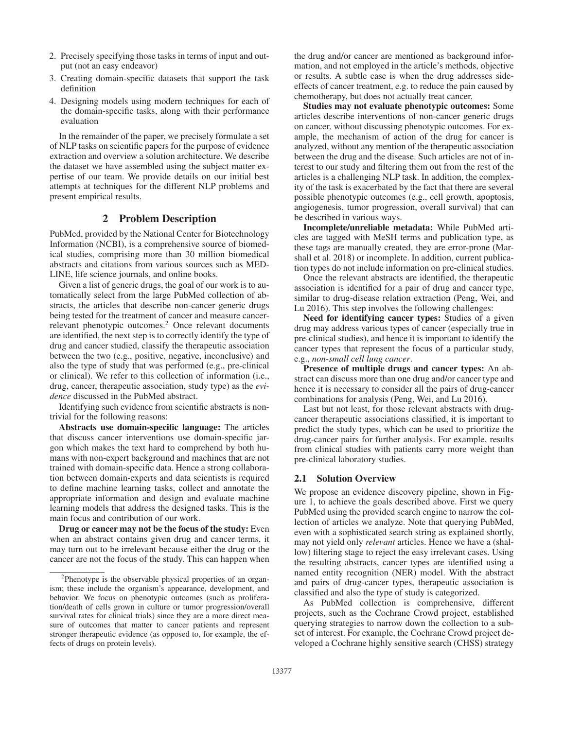- 2. Precisely specifying those tasks in terms of input and output (not an easy endeavor)
- 3. Creating domain-specific datasets that support the task definition
- 4. Designing models using modern techniques for each of the domain-specific tasks, along with their performance evaluation

In the remainder of the paper, we precisely formulate a set of NLP tasks on scientific papers for the purpose of evidence extraction and overview a solution architecture. We describe the dataset we have assembled using the subject matter expertise of our team. We provide details on our initial best attempts at techniques for the different NLP problems and present empirical results.

## 2 Problem Description

PubMed, provided by the National Center for Biotechnology Information (NCBI), is a comprehensive source of biomedical studies, comprising more than 30 million biomedical abstracts and citations from various sources such as MED-LINE, life science journals, and online books.

Given a list of generic drugs, the goal of our work is to automatically select from the large PubMed collection of abstracts, the articles that describe non-cancer generic drugs being tested for the treatment of cancer and measure cancerrelevant phenotypic outcomes.<sup>2</sup> Once relevant documents are identified, the next step is to correctly identify the type of drug and cancer studied, classify the therapeutic association between the two (e.g., positive, negative, inconclusive) and also the type of study that was performed (e.g., pre-clinical or clinical). We refer to this collection of information (i.e., drug, cancer, therapeutic association, study type) as the *evidence* discussed in the PubMed abstract.

Identifying such evidence from scientific abstracts is nontrivial for the following reasons:

Abstracts use domain-specific language: The articles that discuss cancer interventions use domain-specific jargon which makes the text hard to comprehend by both humans with non-expert background and machines that are not trained with domain-specific data. Hence a strong collaboration between domain-experts and data scientists is required to define machine learning tasks, collect and annotate the appropriate information and design and evaluate machine learning models that address the designed tasks. This is the main focus and contribution of our work.

Drug or cancer may not be the focus of the study: Even when an abstract contains given drug and cancer terms, it may turn out to be irrelevant because either the drug or the cancer are not the focus of the study. This can happen when

the drug and/or cancer are mentioned as background information, and not employed in the article's methods, objective or results. A subtle case is when the drug addresses sideeffects of cancer treatment, e.g. to reduce the pain caused by chemotherapy, but does not actually treat cancer.

Studies may not evaluate phenotypic outcomes: Some articles describe interventions of non-cancer generic drugs on cancer, without discussing phenotypic outcomes. For example, the mechanism of action of the drug for cancer is analyzed, without any mention of the therapeutic association between the drug and the disease. Such articles are not of interest to our study and filtering them out from the rest of the articles is a challenging NLP task. In addition, the complexity of the task is exacerbated by the fact that there are several possible phenotypic outcomes (e.g., cell growth, apoptosis, angiogenesis, tumor progression, overall survival) that can be described in various ways.

Incomplete/unreliable metadata: While PubMed articles are tagged with MeSH terms and publication type, as these tags are manually created, they are error-prone (Marshall et al. 2018) or incomplete. In addition, current publication types do not include information on pre-clinical studies.

Once the relevant abstracts are identified, the therapeutic association is identified for a pair of drug and cancer type, similar to drug-disease relation extraction (Peng, Wei, and Lu 2016). This step involves the following challenges:

Need for identifying cancer types: Studies of a given drug may address various types of cancer (especially true in pre-clinical studies), and hence it is important to identify the cancer types that represent the focus of a particular study, e.g., *non-small cell lung cancer*.

Presence of multiple drugs and cancer types: An abstract can discuss more than one drug and/or cancer type and hence it is necessary to consider all the pairs of drug-cancer combinations for analysis (Peng, Wei, and Lu 2016).

Last but not least, for those relevant abstracts with drugcancer therapeutic associations classified, it is important to predict the study types, which can be used to prioritize the drug-cancer pairs for further analysis. For example, results from clinical studies with patients carry more weight than pre-clinical laboratory studies.

#### 2.1 Solution Overview

We propose an evidence discovery pipeline, shown in Figure 1, to achieve the goals described above. First we query PubMed using the provided search engine to narrow the collection of articles we analyze. Note that querying PubMed, even with a sophisticated search string as explained shortly, may not yield only *relevant* articles. Hence we have a (shallow) filtering stage to reject the easy irrelevant cases. Using the resulting abstracts, cancer types are identified using a named entity recognition (NER) model. With the abstract and pairs of drug-cancer types, therapeutic association is classified and also the type of study is categorized.

As PubMed collection is comprehensive, different projects, such as the Cochrane Crowd project, established querying strategies to narrow down the collection to a subset of interest. For example, the Cochrane Crowd project developed a Cochrane highly sensitive search (CHSS) strategy

<sup>&</sup>lt;sup>2</sup>Phenotype is the observable physical properties of an organism; these include the organism's appearance, development, and behavior. We focus on phenotypic outcomes (such as proliferation/death of cells grown in culture or tumor progression/overall survival rates for clinical trials) since they are a more direct measure of outcomes that matter to cancer patients and represent stronger therapeutic evidence (as opposed to, for example, the effects of drugs on protein levels).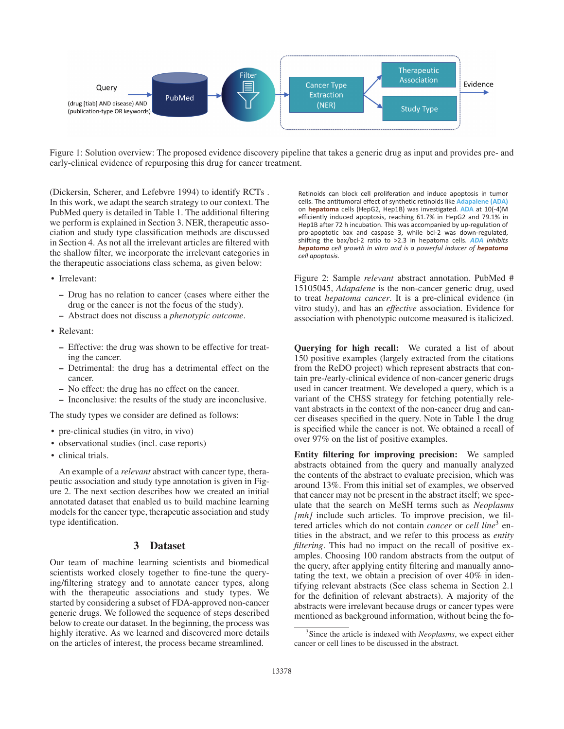

Figure 1: Solution overview: The proposed evidence discovery pipeline that takes a generic drug as input and provides pre- and early-clinical evidence of repurposing this drug for cancer treatment.

(Dickersin, Scherer, and Lefebvre 1994) to identify RCTs . In this work, we adapt the search strategy to our context. The PubMed query is detailed in Table 1. The additional filtering we perform is explained in Section 3. NER, therapeutic association and study type classification methods are discussed in Section 4. As not all the irrelevant articles are filtered with the shallow filter, we incorporate the irrelevant categories in the therapeutic associations class schema, as given below:

- Irrelevant:
	- Drug has no relation to cancer (cases where either the drug or the cancer is not the focus of the study).
	- Abstract does not discuss a *phenotypic outcome*.
- Relevant:
	- Effective: the drug was shown to be effective for treating the cancer.
	- Detrimental: the drug has a detrimental effect on the cancer.
	- No effect: the drug has no effect on the cancer.
	- Inconclusive: the results of the study are inconclusive.

The study types we consider are defined as follows:

- pre-clinical studies (in vitro, in vivo)
- observational studies (incl. case reports)
- clinical trials.

An example of a *relevant* abstract with cancer type, therapeutic association and study type annotation is given in Figure 2. The next section describes how we created an initial annotated dataset that enabled us to build machine learning models for the cancer type, therapeutic association and study type identification.

## 3 Dataset

Our team of machine learning scientists and biomedical scientists worked closely together to fine-tune the querying/filtering strategy and to annotate cancer types, along with the therapeutic associations and study types. We started by considering a subset of FDA-approved non-cancer generic drugs. We followed the sequence of steps described below to create our dataset. In the beginning, the process was highly iterative. As we learned and discovered more details on the articles of interest, the process became streamlined.

Retinoids can block cell proliferation and induce apoptosis in tumor cells. The antitumoral effect of synthetic retinoids like **Adapalene (ADA)** on **hepatoma** cells (HepG2, Hep1B) was investigated. **ADA** at 10(-4)M efficiently induced apoptosis, reaching 61.7% in HepG2 and 79.1% in Hep1B after 72 h incubation. This was accompanied by up-regulation of pro-apoptotic bax and caspase 3, while bcl-2 was down-regulated, shifting the bax/bcl-2 ratio to >2.3 in hepatoma cells. *ADA inhibits hepatoma cell growth in vitro and is a powerful inducer of hepatoma cell apoptosis.*

Figure 2: Sample *relevant* abstract annotation. PubMed # 15105045, *Adapalene* is the non-cancer generic drug, used to treat *hepatoma cancer*. It is a pre-clinical evidence (in vitro study), and has an *effective* association. Evidence for association with phenotypic outcome measured is italicized.

Querying for high recall: We curated a list of about 150 positive examples (largely extracted from the citations from the ReDO project) which represent abstracts that contain pre-/early-clinical evidence of non-cancer generic drugs used in cancer treatment. We developed a query, which is a variant of the CHSS strategy for fetching potentially relevant abstracts in the context of the non-cancer drug and cancer diseases specified in the query. Note in Table 1 the drug is specified while the cancer is not. We obtained a recall of over 97% on the list of positive examples.

Entity filtering for improving precision: We sampled abstracts obtained from the query and manually analyzed the contents of the abstract to evaluate precision, which was around 13%. From this initial set of examples, we observed that cancer may not be present in the abstract itself; we speculate that the search on MeSH terms such as *Neoplasms [mh]* include such articles. To improve precision, we filtered articles which do not contain *cancer* or *cell line*<sup>3</sup> entities in the abstract, and we refer to this process as *entity filtering*. This had no impact on the recall of positive examples. Choosing 100 random abstracts from the output of the query, after applying entity filtering and manually annotating the text, we obtain a precision of over 40% in identifying relevant abstracts (See class schema in Section 2.1 for the definition of relevant abstracts). A majority of the abstracts were irrelevant because drugs or cancer types were mentioned as background information, without being the fo-

<sup>3</sup> Since the article is indexed with *Neoplasms*, we expect either cancer or cell lines to be discussed in the abstract.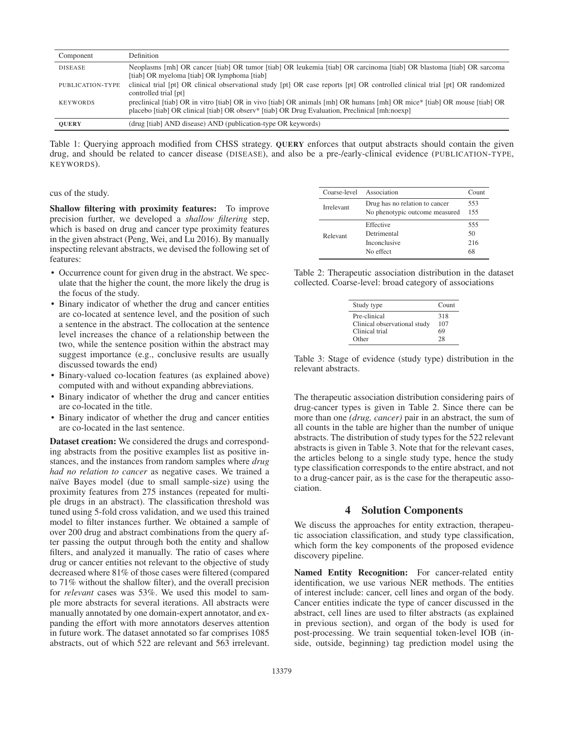| Component        | <b>Definition</b>                                                                                                                                                                                                                       |
|------------------|-----------------------------------------------------------------------------------------------------------------------------------------------------------------------------------------------------------------------------------------|
| <b>DISEASE</b>   | Neoplasms [mh] OR cancer [tiab] OR tumor [tiab] OR leukemia [tiab] OR carcinoma [tiab] OR blastoma [tiab] OR sarcoma<br>[tiab] OR myeloma [tiab] OR lymphoma [tiab]                                                                     |
| PUBLICATION-TYPE | clinical trial [pt] OR clinical observational study [pt] OR case reports [pt] OR controlled clinical trial [pt] OR randomized<br>controlled trial [pt]                                                                                  |
| <b>KEYWORDS</b>  | preclinical [tiab] OR in vitro [tiab] OR in vivo [tiab] OR animals [mh] OR humans [mh] OR mice* [tiab] OR mouse [tiab] OR<br>placebo [tiab] OR clinical [tiab] OR observ <sup>*</sup> [tiab] OR Drug Evaluation, Preclinical [mh:noexp] |
| <b>OUERY</b>     | (drug [tiab] AND disease) AND (publication-type OR keywords)                                                                                                                                                                            |

Table 1: Querying approach modified from CHSS strategy. QUERY enforces that output abstracts should contain the given drug, and should be related to cancer disease (DISEASE), and also be a pre-/early-clinical evidence (PUBLICATION-TYPE, KEYWORDS).

#### cus of the study.

Shallow filtering with proximity features: To improve precision further, we developed a *shallow filtering* step, which is based on drug and cancer type proximity features in the given abstract (Peng, Wei, and Lu 2016). By manually inspecting relevant abstracts, we devised the following set of features:

- Occurrence count for given drug in the abstract. We speculate that the higher the count, the more likely the drug is the focus of the study.
- Binary indicator of whether the drug and cancer entities are co-located at sentence level, and the position of such a sentence in the abstract. The collocation at the sentence level increases the chance of a relationship between the two, while the sentence position within the abstract may suggest importance (e.g., conclusive results are usually discussed towards the end)
- Binary-valued co-location features (as explained above) computed with and without expanding abbreviations.
- Binary indicator of whether the drug and cancer entities are co-located in the title.
- Binary indicator of whether the drug and cancer entities are co-located in the last sentence.

Dataset creation: We considered the drugs and corresponding abstracts from the positive examples list as positive instances, and the instances from random samples where *drug had no relation to cancer* as negative cases. We trained a naïve Bayes model (due to small sample-size) using the proximity features from 275 instances (repeated for multiple drugs in an abstract). The classification threshold was tuned using 5-fold cross validation, and we used this trained model to filter instances further. We obtained a sample of over 200 drug and abstract combinations from the query after passing the output through both the entity and shallow filters, and analyzed it manually. The ratio of cases where drug or cancer entities not relevant to the objective of study decreased where 81% of those cases were filtered (compared to 71% without the shallow filter), and the overall precision for *relevant* cases was 53%. We used this model to sample more abstracts for several iterations. All abstracts were manually annotated by one domain-expert annotator, and expanding the effort with more annotators deserves attention in future work. The dataset annotated so far comprises 1085 abstracts, out of which 522 are relevant and 563 irrelevant.

| Coarse-level Association |                                | Count |
|--------------------------|--------------------------------|-------|
| Irrelevant               | Drug has no relation to cancer | 553   |
|                          | No phenotypic outcome measured | 155   |
|                          | Effective                      | 555   |
| Relevant                 | Detrimental                    | 50    |
|                          | Inconclusive                   | 216   |
|                          | No effect                      | 68    |

Table 2: Therapeutic association distribution in the dataset collected. Coarse-level: broad category of associations

| Study type                   | Count |
|------------------------------|-------|
| Pre-clinical                 | 318   |
| Clinical observational study | 107   |
| Clinical trial               | 69    |
| Other                        | 28    |

Table 3: Stage of evidence (study type) distribution in the relevant abstracts.

The therapeutic association distribution considering pairs of drug-cancer types is given in Table 2. Since there can be more than one *(drug, cancer)* pair in an abstract, the sum of all counts in the table are higher than the number of unique abstracts. The distribution of study types for the 522 relevant abstracts is given in Table 3. Note that for the relevant cases, the articles belong to a single study type, hence the study type classification corresponds to the entire abstract, and not to a drug-cancer pair, as is the case for the therapeutic association.

#### 4 Solution Components

We discuss the approaches for entity extraction, therapeutic association classification, and study type classification, which form the key components of the proposed evidence discovery pipeline.

Named Entity Recognition: For cancer-related entity identification, we use various NER methods. The entities of interest include: cancer, cell lines and organ of the body. Cancer entities indicate the type of cancer discussed in the abstract, cell lines are used to filter abstracts (as explained in previous section), and organ of the body is used for post-processing. We train sequential token-level IOB (inside, outside, beginning) tag prediction model using the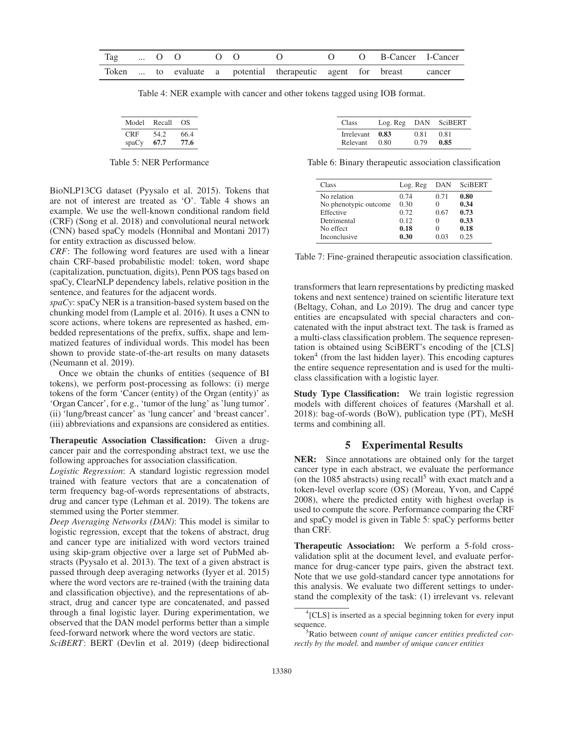|  |  | Tag  O O O O O O |                                                                    |  | O O B-Cancer I-Cancer |  |
|--|--|------------------|--------------------------------------------------------------------|--|-----------------------|--|
|  |  |                  | Token  to evaluate a potential therapeutic agent for breast cancer |  |                       |  |

Table 4: NER example with cancer and other tokens tagged using IOB format.

| Model | Recall | OS   |
|-------|--------|------|
| CRE   | 54.2   | 66.4 |
| spaCy | 67.7   | 77.6 |

Table 5: NER Performance

BioNLP13CG dataset (Pyysalo et al. 2015). Tokens that are not of interest are treated as 'O'. Table 4 shows an example. We use the well-known conditional random field (CRF) (Song et al. 2018) and convolutional neural network (CNN) based spaCy models (Honnibal and Montani 2017) for entity extraction as discussed below.

*CRF*: The following word features are used with a linear chain CRF-based probabilistic model: token, word shape (capitalization, punctuation, digits), Penn POS tags based on spaCy, ClearNLP dependency labels, relative position in the sentence, and features for the adjacent words.

*spaCy*: spaCy NER is a transition-based system based on the chunking model from (Lample et al. 2016). It uses a CNN to score actions, where tokens are represented as hashed, embedded representations of the prefix, suffix, shape and lemmatized features of individual words. This model has been shown to provide state-of-the-art results on many datasets (Neumann et al. 2019).

Once we obtain the chunks of entities (sequence of BI tokens), we perform post-processing as follows: (i) merge tokens of the form 'Cancer (entity) of the Organ (entity)' as 'Organ Cancer', for e.g., 'tumor of the lung' as 'lung tumor'. (ii) 'lung/breast cancer' as 'lung cancer' and 'breast cancer'. (iii) abbreviations and expansions are considered as entities.

Therapeutic Association Classification: Given a drugcancer pair and the corresponding abstract text, we use the following approaches for association classification.

*Logistic Regression*: A standard logistic regression model trained with feature vectors that are a concatenation of term frequency bag-of-words representations of abstracts, drug and cancer type (Lehman et al. 2019). The tokens are stemmed using the Porter stemmer.

*Deep Averaging Networks (DAN)*: This model is similar to logistic regression, except that the tokens of abstract, drug and cancer type are initialized with word vectors trained using skip-gram objective over a large set of PubMed abstracts (Pyysalo et al. 2013). The text of a given abstract is passed through deep averaging networks (Iyyer et al. 2015) where the word vectors are re-trained (with the training data and classification objective), and the representations of abstract, drug and cancer type are concatenated, and passed through a final logistic layer. During experimentation, we observed that the DAN model performs better than a simple feed-forward network where the word vectors are static.

*SciBERT*: BERT (Devlin et al. 2019) (deep bidirectional

| Class      | Log. Reg DAN SciBERT |      |      |
|------------|----------------------|------|------|
| Irrelevant | 0.83                 | 0.81 | 0.81 |
| Relevant   | 0.80                 | 0.79 | 0.85 |

Table 6: Binary therapeutic association classification

| Class                 | Log. Reg | DAN  | <b>SciBERT</b> |
|-----------------------|----------|------|----------------|
| No relation           | 0.74     | 0.71 | 0.80           |
| No phenotypic outcome | 0.30     | 0    | 0.34           |
| Effective             | 0.72     | 0.67 | 0.73           |
| Detrimental           | 0.12     | 0    | 0.33           |
| No effect             | 0.18     | 0    | 0.18           |
| <b>Inconclusive</b>   | 0.30     | 0.03 | 0.25           |

Table 7: Fine-grained therapeutic association classification.

transformers that learn representations by predicting masked tokens and next sentence) trained on scientific literature text (Beltagy, Cohan, and Lo 2019). The drug and cancer type entities are encapsulated with special characters and concatenated with the input abstract text. The task is framed as a multi-class classification problem. The sequence representation is obtained using SciBERT's encoding of the [CLS] token $4$  (from the last hidden layer). This encoding captures the entire sequence representation and is used for the multiclass classification with a logistic layer.

Study Type Classification: We train logistic regression models with different choices of features (Marshall et al. 2018): bag-of-words (BoW), publication type (PT), MeSH terms and combining all.

## 5 Experimental Results

NER: Since annotations are obtained only for the target cancer type in each abstract, we evaluate the performance (on the 1085 abstracts) using recall<sup>5</sup> with exact match and a token-level overlap score (OS) (Moreau, Yvon, and Cappé 2008), where the predicted entity with highest overlap is used to compute the score. Performance comparing the CRF and spaCy model is given in Table 5: spaCy performs better than CRF.

Therapeutic Association: We perform a 5-fold crossvalidation split at the document level, and evaluate performance for drug-cancer type pairs, given the abstract text. Note that we use gold-standard cancer type annotations for this analysis. We evaluate two different settings to understand the complexity of the task: (1) irrelevant vs. relevant

<sup>&</sup>lt;sup>4</sup>[CLS] is inserted as a special beginning token for every input sequence.

<sup>5</sup> Ratio between *count of unique cancer entities predicted correctly by the model.* and *number of unique cancer entities*